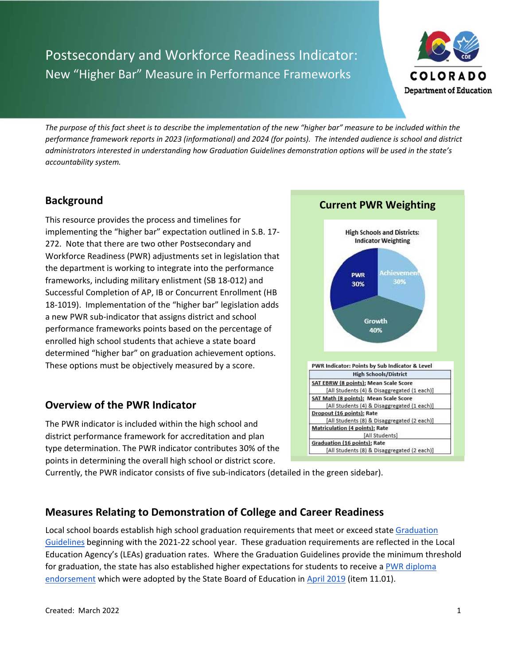# Postsecondary and Workforce Readiness Indicator: New "Higher Bar" Measure in Performance Frameworks



*The purpose of this fact sheet is to describe the implementation of the new "higher bar" measure to be included within the performance framework reports in 2023 (informational) and 2024 (for points). The intended audience is school and district administrators interested in understanding how Graduation Guidelines demonstration options will be used in the state's accountability system.*

## **Background**

This resource provides the process and timelines for implementing the "higher bar" expectation outlined in S.B. 17‐ 272. Note that there are two other Postsecondary and Workforce Readiness (PWR) adjustments set in legislation that the department is working to integrate into the performance frameworks, including military enlistment (SB 18‐012) and Successful Completion of AP, IB or Concurrent Enrollment (HB 18‐1019). Implementation of the "higher bar" legislation adds a new PWR sub‐indicator that assigns district and school performance frameworks points based on the percentage of enrolled high school students that achieve a state board determined "higher bar" on graduation achievement options. These options must be objectively measured by a score.

## **Overview of the PWR Indicator**

The PWR indicator is included within the high school and district performance framework for accreditation and plan type determination. The PWR indicator contributes 30% of the points in determining the overall high school or district score.



Currently, the PWR indicator consists of five sub‐indicators (detailed in the green sidebar).

## **Measures Relating to Demonstration of College and Career Readiness**

Local school boards establish high school graduation requirements that meet or exceed state Graduation Guidelines beginning with the 2021‐22 school year. These graduation requirements are reflected in the Local Education Agency's (LEAs) graduation rates. Where the Graduation Guidelines provide the minimum threshold for graduation, the state has also established higher expectations for students to receive a PWR diploma endorsement which were adopted by the State Board of Education in April 2019 (item 11.01).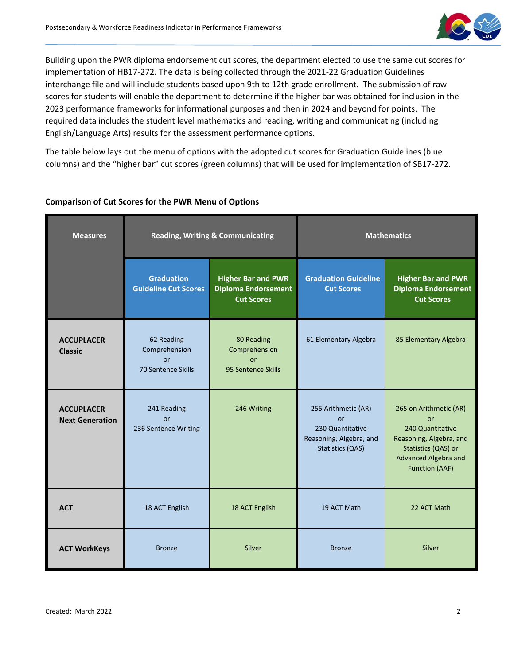

Building upon the PWR diploma endorsement cut scores, the department elected to use the same cut scores for implementation of HB17‐272. The data is being collected through the 2021‐22 Graduation Guidelines interchange file and will include students based upon 9th to 12th grade enrollment. The submission of raw scores for students will enable the department to determine if the higher bar was obtained for inclusion in the 2023 performance frameworks for informational purposes and then in 2024 and beyond for points. The required data includes the student level mathematics and reading, writing and communicating (including English/Language Arts) results for the assessment performance options.

The table below lays out the menu of options with the adopted cut scores for Graduation Guidelines (blue columns) and the "higher bar" cut scores (green columns) that will be used for implementation of SB17‐272.

| <b>Measures</b>                             | <b>Reading, Writing &amp; Communicating</b>                    |                                                                              | <b>Mathematics</b>                                                                                  |                                                                                                                                                     |
|---------------------------------------------|----------------------------------------------------------------|------------------------------------------------------------------------------|-----------------------------------------------------------------------------------------------------|-----------------------------------------------------------------------------------------------------------------------------------------------------|
|                                             | <b>Graduation</b><br><b>Guideline Cut Scores</b>               | <b>Higher Bar and PWR</b><br><b>Diploma Endorsement</b><br><b>Cut Scores</b> | <b>Graduation Guideline</b><br><b>Cut Scores</b>                                                    | <b>Higher Bar and PWR</b><br><b>Diploma Endorsement</b><br><b>Cut Scores</b>                                                                        |
| <b>ACCUPLACER</b><br><b>Classic</b>         | 62 Reading<br>Comprehension<br><b>or</b><br>70 Sentence Skills | 80 Reading<br>Comprehension<br><b>or</b><br>95 Sentence Skills               | 61 Elementary Algebra                                                                               | 85 Elementary Algebra                                                                                                                               |
| <b>ACCUPLACER</b><br><b>Next Generation</b> | 241 Reading<br><b>or</b><br>236 Sentence Writing               | 246 Writing                                                                  | 255 Arithmetic (AR)<br><b>or</b><br>230 Quantitative<br>Reasoning, Algebra, and<br>Statistics (QAS) | 265 on Arithmetic (AR)<br>or<br>240 Quantitative<br>Reasoning, Algebra, and<br>Statistics (QAS) or<br>Advanced Algebra and<br><b>Function (AAF)</b> |
| <b>ACT</b>                                  | 18 ACT English                                                 | 18 ACT English                                                               | 19 ACT Math                                                                                         | 22 ACT Math                                                                                                                                         |
| <b>ACT WorkKeys</b>                         | <b>Bronze</b>                                                  | Silver                                                                       | <b>Bronze</b>                                                                                       | Silver                                                                                                                                              |

#### **Comparison of Cut Scores for the PWR Menu of Options**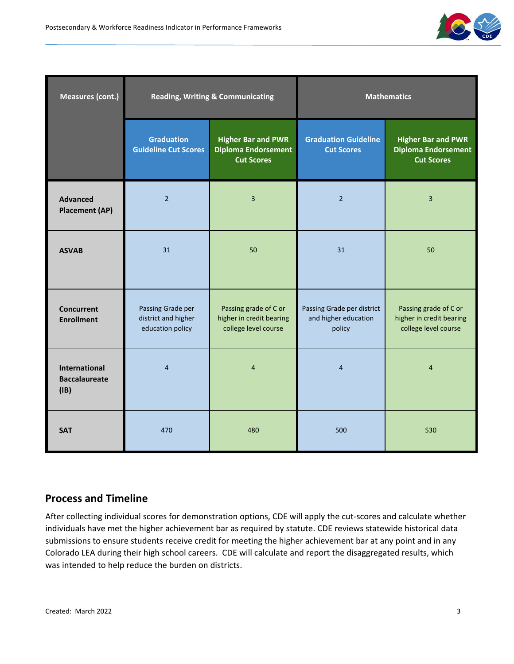

| <b>Measures (cont.)</b>                       | <b>Reading, Writing &amp; Communicating</b>                  |                                                                              | <b>Mathematics</b>                                           |                                                                              |
|-----------------------------------------------|--------------------------------------------------------------|------------------------------------------------------------------------------|--------------------------------------------------------------|------------------------------------------------------------------------------|
|                                               | <b>Graduation</b><br><b>Guideline Cut Scores</b>             | <b>Higher Bar and PWR</b><br><b>Diploma Endorsement</b><br><b>Cut Scores</b> | <b>Graduation Guideline</b><br><b>Cut Scores</b>             | <b>Higher Bar and PWR</b><br><b>Diploma Endorsement</b><br><b>Cut Scores</b> |
| <b>Advanced</b><br><b>Placement (AP)</b>      | $\overline{2}$                                               | 3                                                                            | $\overline{2}$                                               | 3                                                                            |
| <b>ASVAB</b>                                  | 31                                                           | 50                                                                           | 31                                                           | 50                                                                           |
| <b>Concurrent</b><br><b>Enrollment</b>        | Passing Grade per<br>district and higher<br>education policy | Passing grade of C or<br>higher in credit bearing<br>college level course    | Passing Grade per district<br>and higher education<br>policy | Passing grade of C or<br>higher in credit bearing<br>college level course    |
| International<br><b>Baccalaureate</b><br>(IB) | $\overline{4}$                                               | $\overline{4}$                                                               | 4                                                            | $\overline{4}$                                                               |
| <b>SAT</b>                                    | 470                                                          | 480                                                                          | 500                                                          | 530                                                                          |

### **Process and Timeline**

After collecting individual scores for demonstration options, CDE will apply the cut‐scores and calculate whether individuals have met the higher achievement bar as required by statute. CDE reviews statewide historical data submissions to ensure students receive credit for meeting the higher achievement bar at any point and in any Colorado LEA during their high school careers. CDE will calculate and report the disaggregated results, which was intended to help reduce the burden on districts.